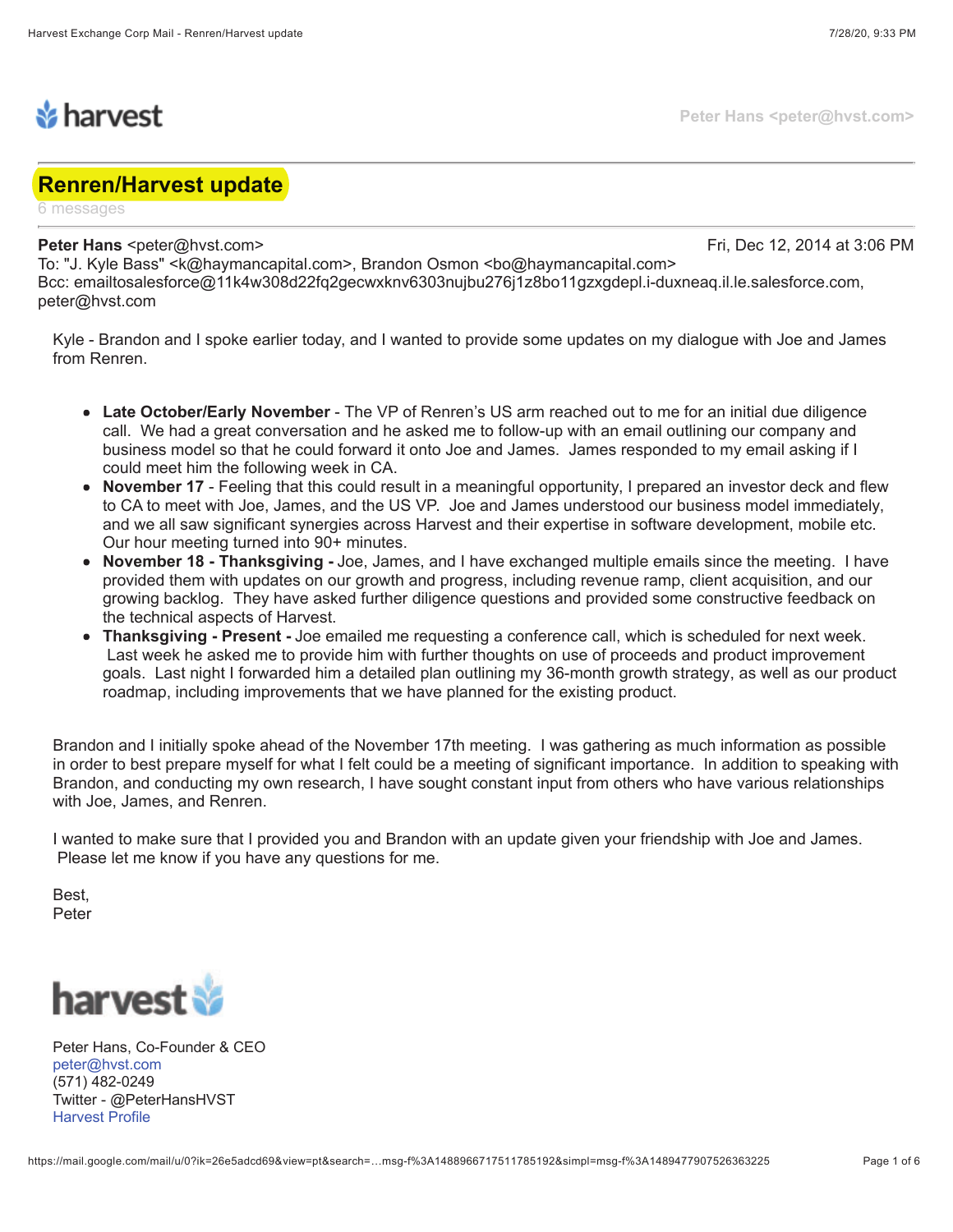

## **Renren/Harvest update**

6 messages

## **Peter Hans** <peter@hvst.com> Fri, Dec 12, 2014 at 3:06 PM

**Peter Hans <peter@hvst.com>**

To: "J. Kyle Bass" <k@haymancapital.com>, Brandon Osmon <br/> <br/>6@haymancapital.com> Bcc: emailtosalesforce@11k4w308d22fq2gecwxknv6303nujbu276j1z8bo11gzxgdepl.i-duxneaq.il.le.salesforce.com, peter@hvst.com

Kyle - Brandon and I spoke earlier today, and I wanted to provide some updates on my dialogue with Joe and James from Renren.

- **Late October/Early November**  The VP of Renren's US arm reached out to me for an initial due diligence call. We had a great conversation and he asked me to follow-up with an email outlining our company and business model so that he could forward it onto Joe and James. James responded to my email asking if I could meet him the following week in CA.
- **November 17**  Feeling that this could result in a meaningful opportunity, I prepared an investor deck and flew to CA to meet with Joe, James, and the US VP. Joe and James understood our business model immediately, and we all saw significant synergies across Harvest and their expertise in software development, mobile etc. Our hour meeting turned into 90+ minutes.
- **November 18 Thanksgiving** Joe, James, and I have exchanged multiple emails since the meeting. I have provided them with updates on our growth and progress, including revenue ramp, client acquisition, and our growing backlog. They have asked further diligence questions and provided some constructive feedback on the technical aspects of Harvest.
- **Thanksgiving Present** Joe emailed me requesting a conference call, which is scheduled for next week. Last week he asked me to provide him with further thoughts on use of proceeds and product improvement goals. Last night I forwarded him a detailed plan outlining my 36-month growth strategy, as well as our product roadmap, including improvements that we have planned for the existing product.

Brandon and I initially spoke ahead of the November 17th meeting. I was gathering as much information as possible in order to best prepare myself for what I felt could be a meeting of significant importance. In addition to speaking with Brandon, and conducting my own research, I have sought constant input from others who have various relationships with Joe, James, and Renren.

I wanted to make sure that I provided you and Brandon with an update given your friendship with Joe and James. Please let me know if you have any questions for me.

Best, Peter



Peter Hans, Co-Founder & CEO peter@hvst.com (571) 482-0249 Twitter - @PeterHansHVST Harvest Profile